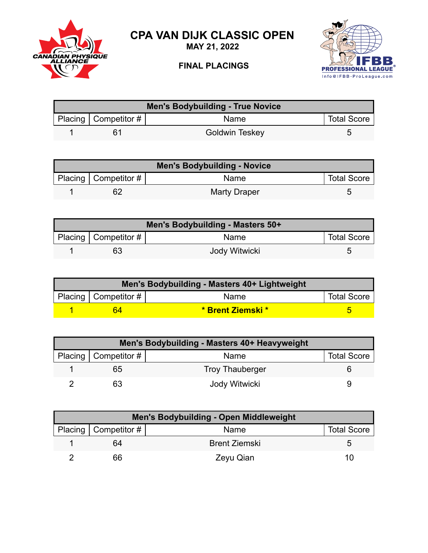

**CPA VAN DIJK CLASSIC OPEN**

**MAY 21, 2022**

## **FINAL PLACINGS**



| <b>Men's Bodybuilding - True Novice</b> |                        |                |                    |  |
|-----------------------------------------|------------------------|----------------|--------------------|--|
|                                         | Placing   Competitor # | Name           | <b>Total Score</b> |  |
|                                         | 61                     | Goldwin Teskey |                    |  |

| <b>Men's Bodybuilding - Novice</b> |                        |              |                    |
|------------------------------------|------------------------|--------------|--------------------|
|                                    | Placing   Competitor # | <b>Name</b>  | <b>Total Score</b> |
|                                    | 62                     | Marty Draper | ∽                  |

| Men's Bodybuilding - Masters 50+ |                          |               |                    |  |
|----------------------------------|--------------------------|---------------|--------------------|--|
|                                  | Placing   Competitor $#$ | <b>Name</b>   | <b>Total Score</b> |  |
|                                  | 63                       | Jody Witwicki |                    |  |

| Men's Bodybuilding - Masters 40+ Lightweight |                        |                   |                    |  |
|----------------------------------------------|------------------------|-------------------|--------------------|--|
|                                              | Placing   Competitor # | Name              | <b>Total Score</b> |  |
|                                              | 64                     | * Brent Ziemski * |                    |  |

| Men's Bodybuilding - Masters 40+ Heavyweight |                        |                    |  |  |
|----------------------------------------------|------------------------|--------------------|--|--|
| Placing   Competitor #                       | Name                   | <b>Total Score</b> |  |  |
| n5                                           | <b>Troy Thauberger</b> |                    |  |  |
|                                              | Jody Witwicki          |                    |  |  |

| <b>Men's Bodybuilding - Open Middleweight</b> |                        |                      |                    |  |
|-----------------------------------------------|------------------------|----------------------|--------------------|--|
|                                               | Placing   Competitor # | Name                 | <b>Total Score</b> |  |
|                                               | 64                     | <b>Brent Ziemski</b> |                    |  |
|                                               | 66                     | Zeyu Qian            | 10                 |  |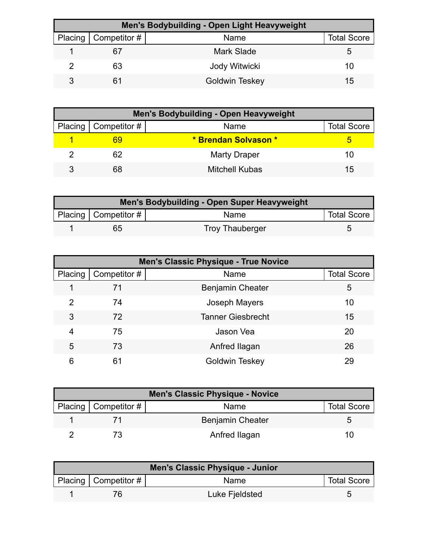| Men's Bodybuilding - Open Light Heavyweight |                              |                       |                    |  |
|---------------------------------------------|------------------------------|-----------------------|--------------------|--|
|                                             | Placing $\vert$ Competitor # | Name                  | <b>Total Score</b> |  |
|                                             | 67                           | Mark Slade            |                    |  |
|                                             | 63                           | Jody Witwicki         | 10                 |  |
|                                             | 61                           | <b>Goldwin Teskey</b> | 15                 |  |

| <b>Men's Bodybuilding - Open Heavyweight</b> |                        |                      |                    |  |
|----------------------------------------------|------------------------|----------------------|--------------------|--|
|                                              | Placing   Competitor # | Name                 | <b>Total Score</b> |  |
|                                              | 69                     | * Brendan Solvason * |                    |  |
|                                              | 62                     | <b>Marty Draper</b>  | 10                 |  |
|                                              | 68                     | Mitchell Kubas       | 15                 |  |

| Men's Bodybuilding - Open Super Heavyweight |                        |                        |                    |  |
|---------------------------------------------|------------------------|------------------------|--------------------|--|
|                                             | Placing   Competitor # | <b>Name</b>            | <b>Total Score</b> |  |
|                                             | 65                     | <b>Troy Thauberger</b> |                    |  |

|         | <b>Men's Classic Physique - True Novice</b> |                          |                    |  |  |
|---------|---------------------------------------------|--------------------------|--------------------|--|--|
| Placing | Competitor #                                | Name                     | <b>Total Score</b> |  |  |
|         | 71                                          | <b>Benjamin Cheater</b>  | 5                  |  |  |
| 2       | 74                                          | Joseph Mayers            | 10                 |  |  |
| 3       | 72                                          | <b>Tanner Giesbrecht</b> | 15                 |  |  |
| 4       | 75                                          | Jason Vea                | 20                 |  |  |
| 5       | 73                                          | Anfred Ilagan            | 26                 |  |  |
| 6       | 61                                          | Goldwin Teskey           | 29                 |  |  |

| <b>Men's Classic Physique - Novice</b> |                        |                         |                    |  |
|----------------------------------------|------------------------|-------------------------|--------------------|--|
|                                        | Placing   Competitor # | Name                    | <b>Total Score</b> |  |
|                                        |                        | <b>Benjamin Cheater</b> |                    |  |
|                                        |                        | Anfred Ilagan           | ו ו                |  |

| Men's Classic Physique - Junior |                        |                |                    |
|---------------------------------|------------------------|----------------|--------------------|
|                                 | Placing   Competitor # | Name           | <b>Total Score</b> |
|                                 |                        | Luke Fjeldsted |                    |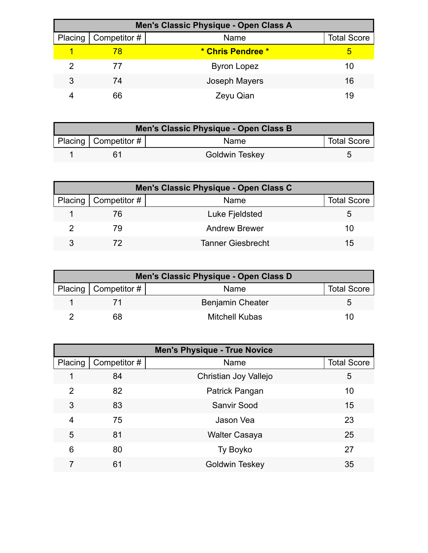|         | Men's Classic Physique - Open Class A |                    |                    |  |  |
|---------|---------------------------------------|--------------------|--------------------|--|--|
| Placing | $\mid$ Competitor #                   | Name               | <b>Total Score</b> |  |  |
|         | 78                                    | * Chris Pendree *  | 5                  |  |  |
|         | 77                                    | <b>Byron Lopez</b> | 10                 |  |  |
| 3       | 74                                    | Joseph Mayers      | 16                 |  |  |
|         | 66                                    | Zeyu Qian          | 19                 |  |  |

| Men's Classic Physique - Open Class B |                        |                       |                    |
|---------------------------------------|------------------------|-----------------------|--------------------|
|                                       | Placing   Competitor # | Name                  | <b>Total Score</b> |
|                                       |                        | <b>Goldwin Teskey</b> |                    |

| Men's Classic Physique - Open Class C |                        |                          |                    |
|---------------------------------------|------------------------|--------------------------|--------------------|
|                                       | Placing   Competitor # | Name                     | <b>Total Score</b> |
|                                       | 76                     | Luke Fjeldsted           |                    |
|                                       | 79                     | <b>Andrew Brewer</b>     | 10                 |
|                                       |                        | <b>Tanner Giesbrecht</b> | 15                 |

| Men's Classic Physique - Open Class D |                        |                         |                    |
|---------------------------------------|------------------------|-------------------------|--------------------|
|                                       | Placing   Competitor # | Name                    | <b>Total Score</b> |
|                                       |                        | <b>Benjamin Cheater</b> |                    |
|                                       | 68                     | Mitchell Kubas          | 10                 |

| <b>Men's Physique - True Novice</b> |              |                       |                    |
|-------------------------------------|--------------|-----------------------|--------------------|
| Placing                             | Competitor # | Name                  | <b>Total Score</b> |
|                                     | 84           | Christian Joy Vallejo | 5                  |
| $\mathcal{P}$                       | 82           | Patrick Pangan        | 10                 |
| 3                                   | 83           | <b>Sanvir Sood</b>    | 15                 |
| 4                                   | 75           | Jason Vea             | 23                 |
| 5                                   | 81           | <b>Walter Casaya</b>  | 25                 |
| 6                                   | 80           | Ty Boyko              | 27                 |
|                                     | 61           | <b>Goldwin Teskey</b> | 35                 |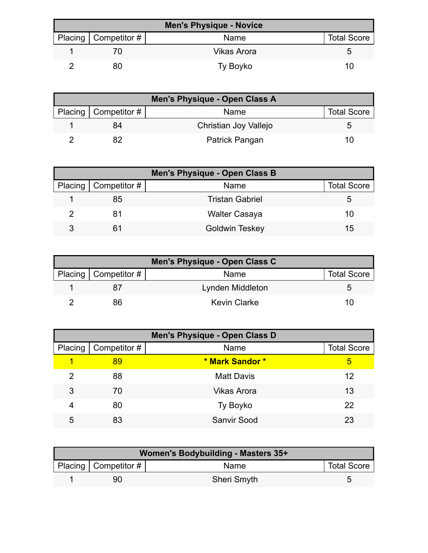| <b>Men's Physique - Novice</b> |                        |                    |                    |  |
|--------------------------------|------------------------|--------------------|--------------------|--|
|                                | Placing   Competitor # | Name               | <b>Total Score</b> |  |
|                                |                        | <b>Vikas Arora</b> |                    |  |
|                                | 80                     | Ty Boyko           | 10                 |  |

| Men's Physique - Open Class A |                              |                       |                    |  |
|-------------------------------|------------------------------|-----------------------|--------------------|--|
|                               | Placing $\vert$ Competitor # | Name                  | <b>Total Score</b> |  |
|                               | 84                           | Christian Joy Vallejo |                    |  |
|                               |                              | Patrick Pangan        | 10                 |  |

| <b>Men's Physique - Open Class B</b> |                        |                        |                    |  |
|--------------------------------------|------------------------|------------------------|--------------------|--|
|                                      | Placing   Competitor # | Name                   | <b>Total Score</b> |  |
|                                      | 85                     | <b>Tristan Gabriel</b> | :C                 |  |
|                                      | 81                     | <b>Walter Casaya</b>   | 10                 |  |
| 3                                    | 61                     | <b>Goldwin Teskey</b>  | 15                 |  |

| Men's Physique - Open Class C |                        |                     |                    |  |
|-------------------------------|------------------------|---------------------|--------------------|--|
|                               | Placing   Competitor # | Name                | <b>Total Score</b> |  |
|                               |                        | Lynden Middleton    |                    |  |
|                               | 86                     | <b>Kevin Clarke</b> | 1 ( )              |  |

| <b>Men's Physique - Open Class D</b> |              |                    |                    |
|--------------------------------------|--------------|--------------------|--------------------|
| Placing                              | Competitor # | Name               | <b>Total Score</b> |
|                                      | 89           | * Mark Sandor *    | 5                  |
| 2                                    | 88           | <b>Matt Davis</b>  | 12                 |
| 3                                    | 70           | <b>Vikas Arora</b> | 13                 |
| 4                                    | 80           | Ty Boyko           | 22                 |
| 5                                    | 83           | <b>Sanvir Sood</b> | 23                 |

| Women's Bodybuilding - Masters 35+ |                           |                    |                    |
|------------------------------------|---------------------------|--------------------|--------------------|
|                                    | Placing   Competitor $\#$ | Name               | <b>Total Score</b> |
|                                    | 90                        | <b>Sheri Smyth</b> |                    |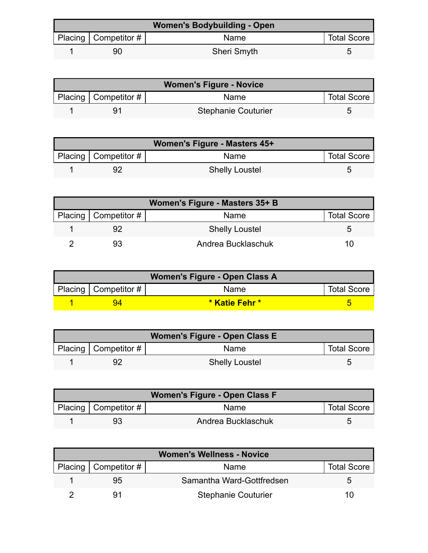| <b>Women's Bodybuilding - Open</b> |                        |                    |                    |
|------------------------------------|------------------------|--------------------|--------------------|
|                                    | Placing   Competitor # | Name               | <b>Total Score</b> |
|                                    | 90                     | <b>Sheri Smyth</b> |                    |

| <b>Women's Figure - Novice</b> |                           |                            |                    |
|--------------------------------|---------------------------|----------------------------|--------------------|
|                                | Placing   Competitor $\#$ | <b>Name</b>                | <b>Total Score</b> |
|                                |                           | <b>Stephanie Couturier</b> |                    |

| Women's Figure - Masters 45+ |                           |                       |                    |  |
|------------------------------|---------------------------|-----------------------|--------------------|--|
|                              | Placing   Competitor $\#$ | Name                  | <b>Total Score</b> |  |
|                              |                           | <b>Shelly Loustel</b> | 5                  |  |

| Women's Figure - Masters 35+ B |                            |                       |                    |
|--------------------------------|----------------------------|-----------------------|--------------------|
|                                | Placing   Competitor # $ $ | Name                  | <b>Total Score</b> |
|                                |                            | <b>Shelly Loustel</b> |                    |
|                                |                            | Andrea Bucklaschuk    | 10                 |

| Women's Figure - Open Class A |                          |                |                    |  |
|-------------------------------|--------------------------|----------------|--------------------|--|
|                               | Placing   Competitor $#$ | <b>Name</b>    | <b>Total Score</b> |  |
|                               |                          | * Katie Fehr * |                    |  |

| Women's Figure - Open Class E |                           |                       |                    |  |
|-------------------------------|---------------------------|-----------------------|--------------------|--|
|                               | Placing   Competitor $\#$ | Name                  | <b>Total Score</b> |  |
|                               |                           | <b>Shelly Loustel</b> |                    |  |

| Women's Figure - Open Class F |                           |                    |                    |  |
|-------------------------------|---------------------------|--------------------|--------------------|--|
|                               | Placing   Competitor $\#$ | Name               | <b>Total Score</b> |  |
|                               |                           | Andrea Bucklaschuk |                    |  |

| <b>Women's Wellness - Novice</b> |                        |                            |                    |
|----------------------------------|------------------------|----------------------------|--------------------|
|                                  | Placing   Competitor # | Name                       | <b>Total Score</b> |
|                                  | 95                     | Samantha Ward-Gottfredsen  | h                  |
|                                  |                        | <b>Stephanie Couturier</b> | 10                 |